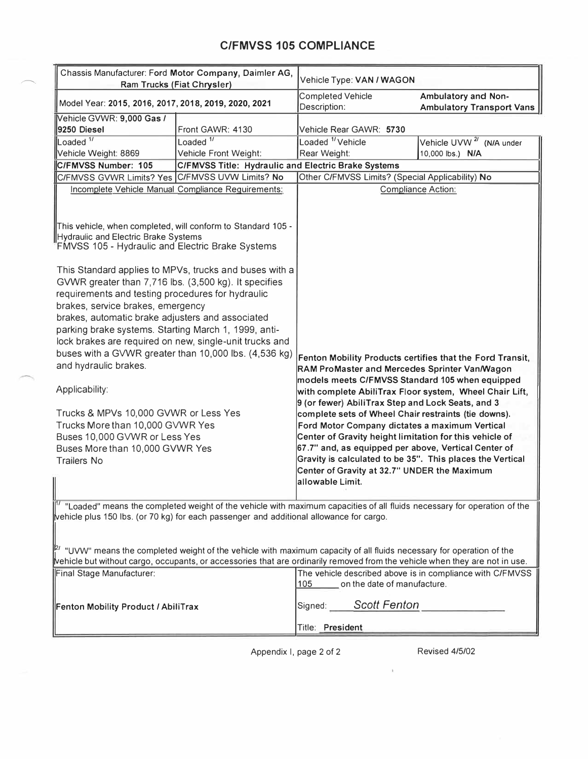### **C/FMVSS 105 COMPLIANCE**

 $\frown$ 

| Chassis Manufacturer: Ford Motor Company, Daimler AG,<br><b>Ram Trucks (Fiat Chrysler)</b>                                                                                                                                                                                                                                                                                                                                                                                                                                                                                                                                                       |                                                            | Vehicle Type: VAN / WAGON                                                                                                                                                                                                                                                                                                             |                                                         |
|--------------------------------------------------------------------------------------------------------------------------------------------------------------------------------------------------------------------------------------------------------------------------------------------------------------------------------------------------------------------------------------------------------------------------------------------------------------------------------------------------------------------------------------------------------------------------------------------------------------------------------------------------|------------------------------------------------------------|---------------------------------------------------------------------------------------------------------------------------------------------------------------------------------------------------------------------------------------------------------------------------------------------------------------------------------------|---------------------------------------------------------|
| Model Year: 2015, 2016, 2017, 2018, 2019, 2020, 2021                                                                                                                                                                                                                                                                                                                                                                                                                                                                                                                                                                                             |                                                            | <b>Completed Vehicle</b><br>Description:                                                                                                                                                                                                                                                                                              | Ambulatory and Non-<br><b>Ambulatory Transport Vans</b> |
| Vehicle GVWR: 9,000 Gas /                                                                                                                                                                                                                                                                                                                                                                                                                                                                                                                                                                                                                        | Front GAWR: 4130                                           |                                                                                                                                                                                                                                                                                                                                       |                                                         |
| 9250 Diesel<br>Loaded $\frac{1}{1}$                                                                                                                                                                                                                                                                                                                                                                                                                                                                                                                                                                                                              | Loaded $1/$                                                | Vehicle Rear GAWR: 5730<br>Loaded <sup>1</sup> /Vehicle                                                                                                                                                                                                                                                                               | Vehicle UVW <sup>2/</sup> (N/A under                    |
| Vehicle Weight: 8869                                                                                                                                                                                                                                                                                                                                                                                                                                                                                                                                                                                                                             | Vehicle Front Weight:                                      | Rear Weight:                                                                                                                                                                                                                                                                                                                          | 10,000 lbs.) N/A                                        |
| C/FMVSS Number: 105                                                                                                                                                                                                                                                                                                                                                                                                                                                                                                                                                                                                                              | <b>C/FMVSS Title: Hydraulic and Electric Brake Systems</b> |                                                                                                                                                                                                                                                                                                                                       |                                                         |
| C/FMVSS GVWR Limits? Yes C/FMVSS UVW Limits? No                                                                                                                                                                                                                                                                                                                                                                                                                                                                                                                                                                                                  |                                                            | Other C/FMVSS Limits? (Special Applicability) No                                                                                                                                                                                                                                                                                      |                                                         |
| Incomplete Vehicle Manual Compliance Requirements:                                                                                                                                                                                                                                                                                                                                                                                                                                                                                                                                                                                               |                                                            | <b>Compliance Action:</b>                                                                                                                                                                                                                                                                                                             |                                                         |
| This vehicle, when completed, will conform to Standard 105 -<br>Hydraulic and Electric Brake Systems<br>FMVSS 105 - Hydraulic and Electric Brake Systems<br>This Standard applies to MPVs, trucks and buses with a<br>GVWR greater than 7,716 lbs. (3,500 kg). It specifies<br>requirements and testing procedures for hydraulic<br>brakes, service brakes, emergency<br>brakes, automatic brake adjusters and associated<br>parking brake systems. Starting March 1, 1999, anti-<br>lock brakes are required on new, single-unit trucks and<br>buses with a GVWR greater than 10,000 lbs. (4,536 kg)<br>and hydraulic brakes.<br>Applicability: |                                                            | Fenton Mobility Products certifies that the Ford Transit,<br>RAM ProMaster and Mercedes Sprinter Van/Wagon<br>models meets C/FMVSS Standard 105 when equipped<br>with complete AbiliTrax Floor system, Wheel Chair Lift,<br>9 (or fewer) AbiliTrax Step and Lock Seats, and 3<br>complete sets of Wheel Chair restraints (tie downs). |                                                         |
| Trucks & MPVs 10,000 GVWR or Less Yes<br>Trucks More than 10,000 GVWR Yes                                                                                                                                                                                                                                                                                                                                                                                                                                                                                                                                                                        |                                                            | Ford Motor Company dictates a maximum Vertical                                                                                                                                                                                                                                                                                        |                                                         |
| Buses 10,000 GVWR or Less Yes                                                                                                                                                                                                                                                                                                                                                                                                                                                                                                                                                                                                                    |                                                            | Center of Gravity height limitation for this vehicle of                                                                                                                                                                                                                                                                               |                                                         |
| Buses More than 10,000 GVWR Yes                                                                                                                                                                                                                                                                                                                                                                                                                                                                                                                                                                                                                  |                                                            | 67.7" and, as equipped per above, Vertical Center of                                                                                                                                                                                                                                                                                  |                                                         |
| <b>Trailers No</b>                                                                                                                                                                                                                                                                                                                                                                                                                                                                                                                                                                                                                               |                                                            | Gravity is calculated to be 35". This places the Vertical                                                                                                                                                                                                                                                                             |                                                         |
|                                                                                                                                                                                                                                                                                                                                                                                                                                                                                                                                                                                                                                                  |                                                            | Center of Gravity at 32.7" UNDER the Maximum<br>allowable Limit.                                                                                                                                                                                                                                                                      |                                                         |
| " "Loaded" means the completed weight of the vehicle with maximum capacities of all fluids necessary for operation of the<br>vehicle plus 150 lbs. (or 70 kg) for each passenger and additional allowance for cargo.<br>$\vert\!\vert^{2}$ "UVW" means the completed weight of the vehicle with maximum capacity of all fluids necessary for operation of the<br>Nehicle but without cargo, occupants, or accessories that are ordinarily removed from the vehicle when they are not in use.<br>Final Stage Manufacturer:                                                                                                                        |                                                            | The vehicle described above is in compliance with C/FMVSS<br>105                                                                                                                                                                                                                                                                      |                                                         |
| Fenton Mobility Product / AbiliTrax                                                                                                                                                                                                                                                                                                                                                                                                                                                                                                                                                                                                              |                                                            | on the date of manufacture.<br>Signed: Scott Fenton                                                                                                                                                                                                                                                                                   |                                                         |
|                                                                                                                                                                                                                                                                                                                                                                                                                                                                                                                                                                                                                                                  |                                                            | Title: President                                                                                                                                                                                                                                                                                                                      |                                                         |

Appendix I, page 2 of 2 Revised 4/5/02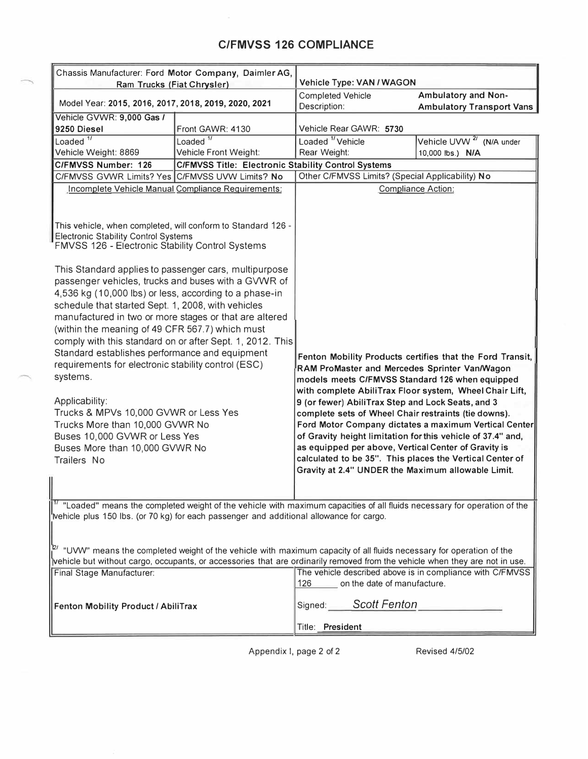# **C/FMVSS 126 COMPLIANCE**

| Chassis Manufacturer: Ford Motor Company, Daimler AG,<br>Ram Trucks (Fiat Chrysler)                                                                                                                                                                                                                                                                                                                                                                                                                                                                                                                                                                                                          |                                                            | Vehicle Type: VAN / WAGON                                                                                                                                                                                                                                                                                                                                                                                                                                                                                                                                                         |                                                           |  |
|----------------------------------------------------------------------------------------------------------------------------------------------------------------------------------------------------------------------------------------------------------------------------------------------------------------------------------------------------------------------------------------------------------------------------------------------------------------------------------------------------------------------------------------------------------------------------------------------------------------------------------------------------------------------------------------------|------------------------------------------------------------|-----------------------------------------------------------------------------------------------------------------------------------------------------------------------------------------------------------------------------------------------------------------------------------------------------------------------------------------------------------------------------------------------------------------------------------------------------------------------------------------------------------------------------------------------------------------------------------|-----------------------------------------------------------|--|
| Model Year: 2015, 2016, 2017, 2018, 2019, 2020, 2021                                                                                                                                                                                                                                                                                                                                                                                                                                                                                                                                                                                                                                         |                                                            | <b>Completed Vehicle</b><br>Description:                                                                                                                                                                                                                                                                                                                                                                                                                                                                                                                                          | Ambulatory and Non-<br><b>Ambulatory Transport Vans</b>   |  |
| Vehicle GVWR: 9,000 Gas /                                                                                                                                                                                                                                                                                                                                                                                                                                                                                                                                                                                                                                                                    |                                                            |                                                                                                                                                                                                                                                                                                                                                                                                                                                                                                                                                                                   |                                                           |  |
| 9250 Diesel                                                                                                                                                                                                                                                                                                                                                                                                                                                                                                                                                                                                                                                                                  | Front GAWR: 4130                                           | Vehicle Rear GAWR: 5730                                                                                                                                                                                                                                                                                                                                                                                                                                                                                                                                                           |                                                           |  |
| Loaded <sup>1/</sup>                                                                                                                                                                                                                                                                                                                                                                                                                                                                                                                                                                                                                                                                         | Loaded $\overline{11}$                                     | Loaded <sup>1</sup> Vehicle                                                                                                                                                                                                                                                                                                                                                                                                                                                                                                                                                       | Vehicle UVW <sup>2/</sup> (N/A under                      |  |
| Vehicle Weight: 8869                                                                                                                                                                                                                                                                                                                                                                                                                                                                                                                                                                                                                                                                         | Vehicle Front Weight:                                      | Rear Weight:                                                                                                                                                                                                                                                                                                                                                                                                                                                                                                                                                                      | 10,000 lbs.) N/A                                          |  |
| C/FMVSS Number: 126                                                                                                                                                                                                                                                                                                                                                                                                                                                                                                                                                                                                                                                                          | <b>C/FMVSS Title: Electronic Stability Control Systems</b> |                                                                                                                                                                                                                                                                                                                                                                                                                                                                                                                                                                                   |                                                           |  |
|                                                                                                                                                                                                                                                                                                                                                                                                                                                                                                                                                                                                                                                                                              | C/FMVSS GVWR Limits? Yes C/FMVSS UVW Limits? No            |                                                                                                                                                                                                                                                                                                                                                                                                                                                                                                                                                                                   | Other C/FMVSS Limits? (Special Applicability) No          |  |
| Incomplete Vehicle Manual Compliance Requirements:                                                                                                                                                                                                                                                                                                                                                                                                                                                                                                                                                                                                                                           |                                                            |                                                                                                                                                                                                                                                                                                                                                                                                                                                                                                                                                                                   | Compliance Action:                                        |  |
| This vehicle, when completed, will conform to Standard 126 -<br><b>Electronic Stability Control Systems</b><br>FMVSS 126 - Electronic Stability Control Systems                                                                                                                                                                                                                                                                                                                                                                                                                                                                                                                              |                                                            |                                                                                                                                                                                                                                                                                                                                                                                                                                                                                                                                                                                   |                                                           |  |
| This Standard applies to passenger cars, multipurpose<br>passenger vehicles, trucks and buses with a GVWR of<br>4,536 kg (10,000 lbs) or less, according to a phase-in<br>schedule that started Sept. 1, 2008, with vehicles<br>manufactured in two or more stages or that are altered<br>(within the meaning of 49 CFR 567.7) which must<br>comply with this standard on or after Sept. 1, 2012. This<br>Standard establishes performance and equipment<br>requirements for electronic stability control (ESC)<br>systems.<br>Applicability:<br>Trucks & MPVs 10,000 GVWR or Less Yes<br>Trucks More than 10,000 GVWR No<br>Buses 10,000 GVWR or Less Yes<br>Buses More than 10,000 GVWR No |                                                            | Fenton Mobility Products certifies that the Ford Transit,<br>RAM ProMaster and Mercedes Sprinter Van/Wagon<br>models meets C/FMVSS Standard 126 when equipped<br>with complete AbiliTrax Floor system, Wheel Chair Lift,<br>9 (or fewer) AbiliTrax Step and Lock Seats, and 3<br>complete sets of Wheel Chair restraints (tie downs).<br>Ford Motor Company dictates a maximum Vertical Center<br>of Gravity height limitation for this vehicle of 37.4" and,<br>as equipped per above, Vertical Center of Gravity is<br>calculated to be 35". This places the Vertical Center of |                                                           |  |
| Trailers No<br>∥                                                                                                                                                                                                                                                                                                                                                                                                                                                                                                                                                                                                                                                                             |                                                            | Gravity at 2.4" UNDER the Maximum allowable Limit.                                                                                                                                                                                                                                                                                                                                                                                                                                                                                                                                |                                                           |  |
| $\mathbb{I}^{\frac{n}{2}}$ "Loaded" means the completed weight of the vehicle with maximum capacities of all fluids necessary for operation of the<br>'vehicle plus 150 lbs. (or 70 kg) for each passenger and additional allowance for cargo.                                                                                                                                                                                                                                                                                                                                                                                                                                               |                                                            |                                                                                                                                                                                                                                                                                                                                                                                                                                                                                                                                                                                   |                                                           |  |
| <sup>[2/</sup> "UVW" means the completed weight of the vehicle with maximum capacity of all fluids necessary for operation of the<br>vehicle but without cargo, occupants, or accessories that are ordinarily removed from the vehicle when they are not in use.<br>Final Stage Manufacturer:                                                                                                                                                                                                                                                                                                                                                                                                |                                                            | on the date of manufacture.<br>126                                                                                                                                                                                                                                                                                                                                                                                                                                                                                                                                                | The vehicle described above is in compliance with C/FMVSS |  |
| Fenton Mobility Product / AbiliTrax                                                                                                                                                                                                                                                                                                                                                                                                                                                                                                                                                                                                                                                          |                                                            | Signed: Scott Fenton                                                                                                                                                                                                                                                                                                                                                                                                                                                                                                                                                              |                                                           |  |
|                                                                                                                                                                                                                                                                                                                                                                                                                                                                                                                                                                                                                                                                                              |                                                            | Title: President                                                                                                                                                                                                                                                                                                                                                                                                                                                                                                                                                                  |                                                           |  |

Appendix I, page 2 of 2 Revised 4/5/02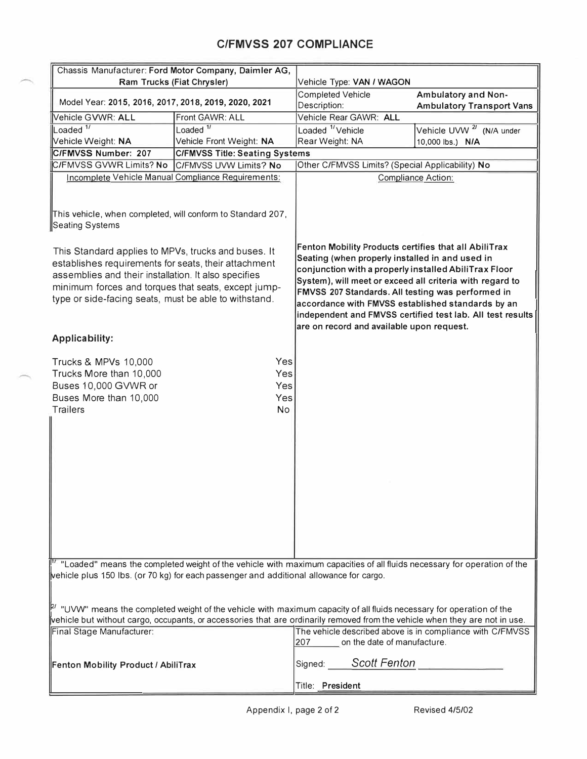## **C/FMVSS 207 COMPLIANCE**

| Chassis Manufacturer: Ford Motor Company, Daimler AG,                                                                                                                                                                                                                               |                                       |                                                                                                                                                                                                                                                                                                                                                                                                                                                    |                                                           |  |
|-------------------------------------------------------------------------------------------------------------------------------------------------------------------------------------------------------------------------------------------------------------------------------------|---------------------------------------|----------------------------------------------------------------------------------------------------------------------------------------------------------------------------------------------------------------------------------------------------------------------------------------------------------------------------------------------------------------------------------------------------------------------------------------------------|-----------------------------------------------------------|--|
| Ram Trucks (Fiat Chrysler)                                                                                                                                                                                                                                                          |                                       | Vehicle Type: VAN / WAGON                                                                                                                                                                                                                                                                                                                                                                                                                          |                                                           |  |
| Model Year: 2015, 2016, 2017, 2018, 2019, 2020, 2021                                                                                                                                                                                                                                |                                       | <b>Completed Vehicle</b><br>Description:                                                                                                                                                                                                                                                                                                                                                                                                           | Ambulatory and Non-<br><b>Ambulatory Transport Vans</b>   |  |
| Vehicle GVWR: ALL                                                                                                                                                                                                                                                                   | Front GAWR: ALL                       | Vehicle Rear GAWR: ALL                                                                                                                                                                                                                                                                                                                                                                                                                             |                                                           |  |
| Loaded $1/$                                                                                                                                                                                                                                                                         | Loaded $\overline{\frac{1}{1}}$       | Loaded <sup>1</sup> /Vehicle                                                                                                                                                                                                                                                                                                                                                                                                                       | Vehicle UVW <sup>2/</sup> (N/A under                      |  |
| Vehicle Weight: NA                                                                                                                                                                                                                                                                  | Vehicle Front Weight: NA              | Rear Weight: NA                                                                                                                                                                                                                                                                                                                                                                                                                                    | 10,000 lbs.) N/A                                          |  |
| C/FMVSS Number: 207                                                                                                                                                                                                                                                                 | <b>C/FMVSS Title: Seating Systems</b> |                                                                                                                                                                                                                                                                                                                                                                                                                                                    |                                                           |  |
| C/FMVSS GVWR Limits? No                                                                                                                                                                                                                                                             | C/FMVSS UVW Limits? No                |                                                                                                                                                                                                                                                                                                                                                                                                                                                    | Other C/FMVSS Limits? (Special Applicability) No          |  |
| Incomplete Vehicle Manual Compliance Requirements:                                                                                                                                                                                                                                  |                                       |                                                                                                                                                                                                                                                                                                                                                                                                                                                    | <b>Compliance Action:</b>                                 |  |
| This vehicle, when completed, will conform to Standard 207,<br>Seating Systems                                                                                                                                                                                                      |                                       |                                                                                                                                                                                                                                                                                                                                                                                                                                                    |                                                           |  |
| This Standard applies to MPVs, trucks and buses. It<br>establishes requirements for seats, their attachment<br>assemblies and their installation. It also specifies<br>minimum forces and torques that seats, except jump-<br>type or side-facing seats, must be able to withstand. |                                       | Fenton Mobility Products certifies that all AbiliTrax<br>Seating (when properly installed in and used in<br>conjunction with a properly installed AbiliTrax Floor<br>System), will meet or exceed all criteria with regard to<br>FMVSS 207 Standards. All testing was performed in<br>accordance with FMVSS established standards by an<br>independent and FMVSS certified test lab. All test results<br>are on record and available upon request. |                                                           |  |
| <b>Applicability:</b>                                                                                                                                                                                                                                                               |                                       |                                                                                                                                                                                                                                                                                                                                                                                                                                                    |                                                           |  |
| <b>Trucks &amp; MPVs 10,000</b><br>Trucks More than 10,000<br>Buses 10,000 GVWR or<br>Buses More than 10,000<br><b>Trailers</b><br><sup>[17]</sup> "Loaded" means the completed weight of the vehicle with maximum capacities of all fluids necessary for operation of the          | Yes<br>Yes<br>Yes<br>Yes<br>No.       |                                                                                                                                                                                                                                                                                                                                                                                                                                                    |                                                           |  |
| vehicle plus 150 lbs. (or 70 kg) for each passenger and additional allowance for cargo.<br>$\mathbb{P}'$ "UVW" means the completed weight of the vehicle with maximum capacity of all fluids necessary for operation of the                                                         |                                       |                                                                                                                                                                                                                                                                                                                                                                                                                                                    |                                                           |  |
| vehicle but without cargo, occupants, or accessories that are ordinarily removed from the vehicle when they are not in use.                                                                                                                                                         |                                       |                                                                                                                                                                                                                                                                                                                                                                                                                                                    |                                                           |  |
| Final Stage Manufacturer:                                                                                                                                                                                                                                                           |                                       | on the date of manufacture.<br>207                                                                                                                                                                                                                                                                                                                                                                                                                 | The vehicle described above is in compliance with C/FMVSS |  |
| <b>Fenton Mobility Product / AbiliTrax</b>                                                                                                                                                                                                                                          |                                       | Signed: Scott Fenton                                                                                                                                                                                                                                                                                                                                                                                                                               |                                                           |  |
|                                                                                                                                                                                                                                                                                     |                                       | Title: President                                                                                                                                                                                                                                                                                                                                                                                                                                   |                                                           |  |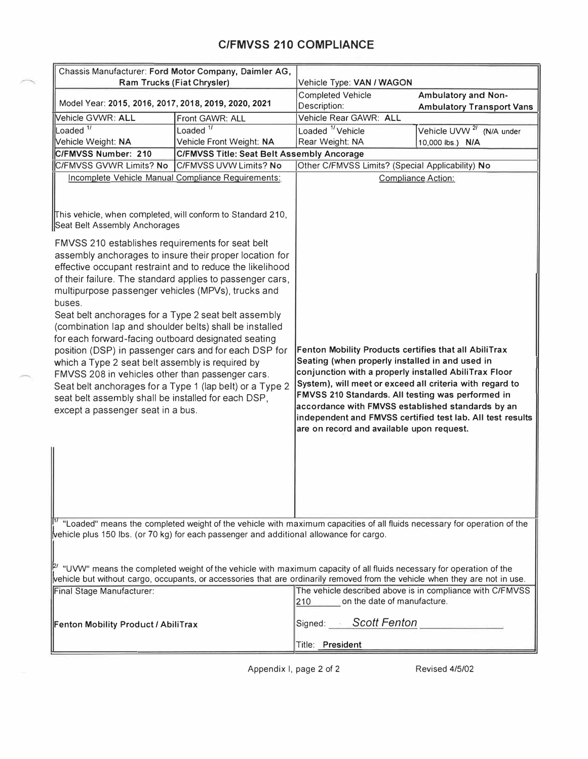# **C/FMVSS 210 COMPLIANCE**

| Chassis Manufacturer: Ford Motor Company, Daimler AG,<br>Ram Trucks (Fiat Chrysler)                                                                                                                                                                                                                                                                                                                                                                                                                                                                                                                                                                                                                                                                                                                      |                                                   | Vehicle Type: VAN / WAGON                                                                                                                                                                                                                                                                                                                                                                                                                          |                                                           |
|----------------------------------------------------------------------------------------------------------------------------------------------------------------------------------------------------------------------------------------------------------------------------------------------------------------------------------------------------------------------------------------------------------------------------------------------------------------------------------------------------------------------------------------------------------------------------------------------------------------------------------------------------------------------------------------------------------------------------------------------------------------------------------------------------------|---------------------------------------------------|----------------------------------------------------------------------------------------------------------------------------------------------------------------------------------------------------------------------------------------------------------------------------------------------------------------------------------------------------------------------------------------------------------------------------------------------------|-----------------------------------------------------------|
|                                                                                                                                                                                                                                                                                                                                                                                                                                                                                                                                                                                                                                                                                                                                                                                                          |                                                   | <b>Completed Vehicle</b>                                                                                                                                                                                                                                                                                                                                                                                                                           | <b>Ambulatory and Non-</b>                                |
| Model Year: 2015, 2016, 2017, 2018, 2019, 2020, 2021                                                                                                                                                                                                                                                                                                                                                                                                                                                                                                                                                                                                                                                                                                                                                     |                                                   | Description:                                                                                                                                                                                                                                                                                                                                                                                                                                       | <b>Ambulatory Transport Vans</b>                          |
| Vehicle GVWR: ALL                                                                                                                                                                                                                                                                                                                                                                                                                                                                                                                                                                                                                                                                                                                                                                                        | Front GAWR: ALL                                   | Vehicle Rear GAWR: ALL                                                                                                                                                                                                                                                                                                                                                                                                                             |                                                           |
| Loaded $\frac{1}{1}$                                                                                                                                                                                                                                                                                                                                                                                                                                                                                                                                                                                                                                                                                                                                                                                     | Loaded $\frac{1}{1}$                              | Loaded <sup>1</sup> /Vehicle                                                                                                                                                                                                                                                                                                                                                                                                                       | Vehicle UVW <sup>2/</sup> (N/A under                      |
| Vehicle Weight: NA                                                                                                                                                                                                                                                                                                                                                                                                                                                                                                                                                                                                                                                                                                                                                                                       | Vehicle Front Weight: NA                          | Rear Weight: NA                                                                                                                                                                                                                                                                                                                                                                                                                                    | 10,000 lbs.) N/A                                          |
| C/FMVSS Number: 210                                                                                                                                                                                                                                                                                                                                                                                                                                                                                                                                                                                                                                                                                                                                                                                      | <b>C/FMVSS Title: Seat Belt Assembly Ancorage</b> |                                                                                                                                                                                                                                                                                                                                                                                                                                                    |                                                           |
| C/FMVSS GVWR Limits? No<br>C/FMVSS UVW Limits? No                                                                                                                                                                                                                                                                                                                                                                                                                                                                                                                                                                                                                                                                                                                                                        |                                                   | Other C/FMVSS Limits? (Special Applicability) No                                                                                                                                                                                                                                                                                                                                                                                                   |                                                           |
| Incomplete Vehicle Manual Compliance Requirements:<br>This vehicle, when completed, will conform to Standard 210,<br>Seat Belt Assembly Anchorages                                                                                                                                                                                                                                                                                                                                                                                                                                                                                                                                                                                                                                                       |                                                   |                                                                                                                                                                                                                                                                                                                                                                                                                                                    | <b>Compliance Action:</b>                                 |
| FMVSS 210 establishes requirements for seat belt<br>assembly anchorages to insure their proper location for<br>effective occupant restraint and to reduce the likelihood<br>of their failure. The standard applies to passenger cars,<br>multipurpose passenger vehicles (MPVs), trucks and<br>buses.<br>Seat belt anchorages for a Type 2 seat belt assembly<br>(combination lap and shoulder belts) shall be installed<br>for each forward-facing outboard designated seating<br>position (DSP) in passenger cars and for each DSP for<br>which a Type 2 seat belt assembly is required by<br>FMVSS 208 in vehicles other than passenger cars.<br>Seat belt anchorages for a Type 1 (lap belt) or a Type 2<br>seat belt assembly shall be installed for each DSP,<br>except a passenger seat in a bus. |                                                   | Fenton Mobility Products certifies that all AbiliTrax<br>Seating (when properly installed in and used in<br>conjunction with a properly installed AbiliTrax Floor<br>System), will meet or exceed all criteria with regard to<br>FMVSS 210 Standards. All testing was performed in<br>accordance with FMVSS established standards by an<br>independent and FMVSS certified test lab. All test results<br>are on record and available upon request. |                                                           |
| <sup>[17</sup> "Loaded" means the completed weight of the vehicle with maximum capacities of all fluids necessary for operation of the                                                                                                                                                                                                                                                                                                                                                                                                                                                                                                                                                                                                                                                                   |                                                   |                                                                                                                                                                                                                                                                                                                                                                                                                                                    |                                                           |
| $\omega$ wehicle plus 150 lbs. (or 70 kg) for each passenger and additional allowance for cargo.<br>$\vert\!\vert^{p}$ "UVW" means the completed weight of the vehicle with maximum capacity of all fluids necessary for operation of the                                                                                                                                                                                                                                                                                                                                                                                                                                                                                                                                                                |                                                   |                                                                                                                                                                                                                                                                                                                                                                                                                                                    |                                                           |
| vehicle but without cargo, occupants, or accessories that are ordinarily removed from the vehicle when they are not in use.                                                                                                                                                                                                                                                                                                                                                                                                                                                                                                                                                                                                                                                                              |                                                   |                                                                                                                                                                                                                                                                                                                                                                                                                                                    |                                                           |
| Final Stage Manufacturer:                                                                                                                                                                                                                                                                                                                                                                                                                                                                                                                                                                                                                                                                                                                                                                                |                                                   | on the date of manufacture.<br>210                                                                                                                                                                                                                                                                                                                                                                                                                 | The vehicle described above is in compliance with C/FMVSS |
| Fenton Mobility Product / AbiliTrax                                                                                                                                                                                                                                                                                                                                                                                                                                                                                                                                                                                                                                                                                                                                                                      |                                                   | Signed: Scott Fenton                                                                                                                                                                                                                                                                                                                                                                                                                               |                                                           |
|                                                                                                                                                                                                                                                                                                                                                                                                                                                                                                                                                                                                                                                                                                                                                                                                          |                                                   | Title: President                                                                                                                                                                                                                                                                                                                                                                                                                                   |                                                           |

Appendix I, page 2 of 2 Revised 4/5/02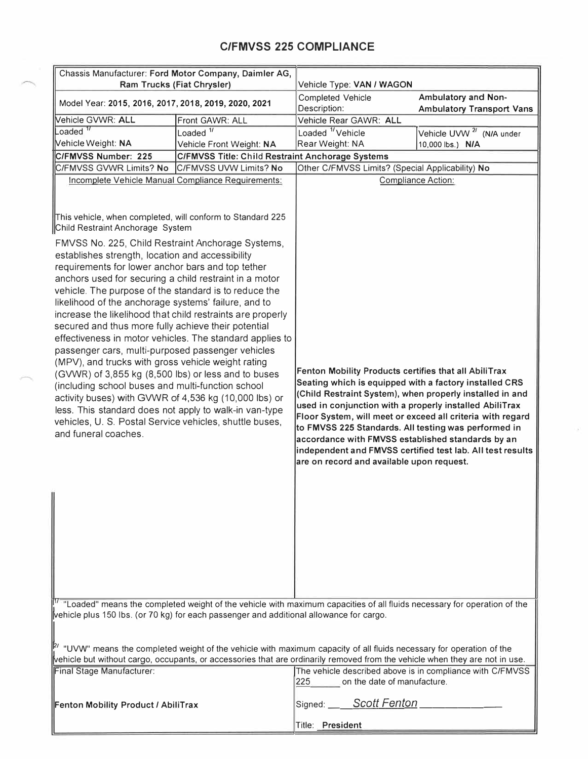# **C/FMVSS 225 COMPLIANCE**

| Chassis Manufacturer: Ford Motor Company, Daimler AG,<br>Ram Trucks (Fiat Chrysler)                                                                                                                                                                                                                                                                                                                                                                                                                                                                                                                                                                                                                                                                                                                                                                                                                                                                 |                                                                                                                         | Vehicle Type: VAN / WAGON                                                                                                                                                                                                                                                                                                                                                                                                                                                                                                    |                                                           |
|-----------------------------------------------------------------------------------------------------------------------------------------------------------------------------------------------------------------------------------------------------------------------------------------------------------------------------------------------------------------------------------------------------------------------------------------------------------------------------------------------------------------------------------------------------------------------------------------------------------------------------------------------------------------------------------------------------------------------------------------------------------------------------------------------------------------------------------------------------------------------------------------------------------------------------------------------------|-------------------------------------------------------------------------------------------------------------------------|------------------------------------------------------------------------------------------------------------------------------------------------------------------------------------------------------------------------------------------------------------------------------------------------------------------------------------------------------------------------------------------------------------------------------------------------------------------------------------------------------------------------------|-----------------------------------------------------------|
|                                                                                                                                                                                                                                                                                                                                                                                                                                                                                                                                                                                                                                                                                                                                                                                                                                                                                                                                                     |                                                                                                                         | <b>Completed Vehicle</b>                                                                                                                                                                                                                                                                                                                                                                                                                                                                                                     | Ambulatory and Non-                                       |
| Model Year: 2015, 2016, 2017, 2018, 2019, 2020, 2021                                                                                                                                                                                                                                                                                                                                                                                                                                                                                                                                                                                                                                                                                                                                                                                                                                                                                                |                                                                                                                         | Description:                                                                                                                                                                                                                                                                                                                                                                                                                                                                                                                 | <b>Ambulatory Transport Vans</b>                          |
| Vehicle GVWR: ALL                                                                                                                                                                                                                                                                                                                                                                                                                                                                                                                                                                                                                                                                                                                                                                                                                                                                                                                                   | Front GAWR: ALL                                                                                                         | Vehicle Rear GAWR: ALL                                                                                                                                                                                                                                                                                                                                                                                                                                                                                                       |                                                           |
| $L$ oaded $^{\prime\prime}$                                                                                                                                                                                                                                                                                                                                                                                                                                                                                                                                                                                                                                                                                                                                                                                                                                                                                                                         | Loaded $\frac{1}{1}$                                                                                                    | Loaded <sup>1</sup> /Vehicle                                                                                                                                                                                                                                                                                                                                                                                                                                                                                                 | Vehicle UVW <sup>2/</sup> (N/A under                      |
| Vehicle Weight: NA                                                                                                                                                                                                                                                                                                                                                                                                                                                                                                                                                                                                                                                                                                                                                                                                                                                                                                                                  | Vehicle Front Weight: NA                                                                                                | Rear Weight: NA                                                                                                                                                                                                                                                                                                                                                                                                                                                                                                              | 10,000 lbs.) N/A                                          |
| C/FMVSS Number: 225                                                                                                                                                                                                                                                                                                                                                                                                                                                                                                                                                                                                                                                                                                                                                                                                                                                                                                                                 | C/FMVSS Title: Child Restraint Anchorage Systems                                                                        |                                                                                                                                                                                                                                                                                                                                                                                                                                                                                                                              |                                                           |
| C/FMVSS GVWR Limits? No                                                                                                                                                                                                                                                                                                                                                                                                                                                                                                                                                                                                                                                                                                                                                                                                                                                                                                                             | C/FMVSS UVW Limits? No                                                                                                  | Other C/FMVSS Limits? (Special Applicability) No                                                                                                                                                                                                                                                                                                                                                                                                                                                                             |                                                           |
| Incomplete Vehicle Manual Compliance Requirements:                                                                                                                                                                                                                                                                                                                                                                                                                                                                                                                                                                                                                                                                                                                                                                                                                                                                                                  |                                                                                                                         |                                                                                                                                                                                                                                                                                                                                                                                                                                                                                                                              | Compliance Action:                                        |
| This vehicle, when completed, will conform to Standard 225<br>Child Restraint Anchorage System                                                                                                                                                                                                                                                                                                                                                                                                                                                                                                                                                                                                                                                                                                                                                                                                                                                      |                                                                                                                         |                                                                                                                                                                                                                                                                                                                                                                                                                                                                                                                              |                                                           |
| FMVSS No. 225, Child Restraint Anchorage Systems,<br>establishes strength, location and accessibility<br>requirements for lower anchor bars and top tether<br>anchors used for securing a child restraint in a motor<br>vehicle. The purpose of the standard is to reduce the<br>likelihood of the anchorage systems' failure, and to<br>increase the likelihood that child restraints are properly<br>secured and thus more fully achieve their potential<br>effectiveness in motor vehicles. The standard applies to<br>passenger cars, multi-purposed passenger vehicles<br>(MPV), and trucks with gross vehicle weight rating<br>(GVWR) of 3,855 kg (8,500 lbs) or less and to buses<br>(including school buses and multi-function school<br>activity buses) with GVWR of 4,536 kg (10,000 lbs) or<br>less. This standard does not apply to walk-in van-type<br>vehicles, U. S. Postal Service vehicles, shuttle buses,<br>and funeral coaches. |                                                                                                                         | Fenton Mobility Products certifies that all AbiliTrax<br>Seating which is equipped with a factory installed CRS<br>(Child Restraint System), when properly installed in and<br>used in conjunction with a properly installed AbiliTrax<br>Floor System, will meet or exceed all criteria with regard<br>to FMVSS 225 Standards. All testing was performed in<br>accordance with FMVSS established standards by an<br>independent and FMVSS certified test lab. All test results<br>are on record and available upon request. |                                                           |
| vehicle plus 150 lbs. (or 70 kg) for each passenger and additional allowance for cargo.                                                                                                                                                                                                                                                                                                                                                                                                                                                                                                                                                                                                                                                                                                                                                                                                                                                             | "Loaded" means the completed weight of the vehicle with maximum capacities of all fluids necessary for operation of the |                                                                                                                                                                                                                                                                                                                                                                                                                                                                                                                              |                                                           |
| $\vert P'$ "UVW" means the completed weight of the vehicle with maximum capacity of all fluids necessary for operation of the<br>vehicle but without cargo, occupants, or accessories that are ordinarily removed from the vehicle when they are not in use.                                                                                                                                                                                                                                                                                                                                                                                                                                                                                                                                                                                                                                                                                        |                                                                                                                         |                                                                                                                                                                                                                                                                                                                                                                                                                                                                                                                              |                                                           |
| Final Stage Manufacturer:                                                                                                                                                                                                                                                                                                                                                                                                                                                                                                                                                                                                                                                                                                                                                                                                                                                                                                                           |                                                                                                                         | 225.<br>on the date of manufacture.                                                                                                                                                                                                                                                                                                                                                                                                                                                                                          | The vehicle described above is in compliance with C/FMVSS |
| Fenton Mobility Product / AbiliTrax                                                                                                                                                                                                                                                                                                                                                                                                                                                                                                                                                                                                                                                                                                                                                                                                                                                                                                                 |                                                                                                                         | Signed: Scott Fenton                                                                                                                                                                                                                                                                                                                                                                                                                                                                                                         |                                                           |
|                                                                                                                                                                                                                                                                                                                                                                                                                                                                                                                                                                                                                                                                                                                                                                                                                                                                                                                                                     |                                                                                                                         | Title: President                                                                                                                                                                                                                                                                                                                                                                                                                                                                                                             |                                                           |